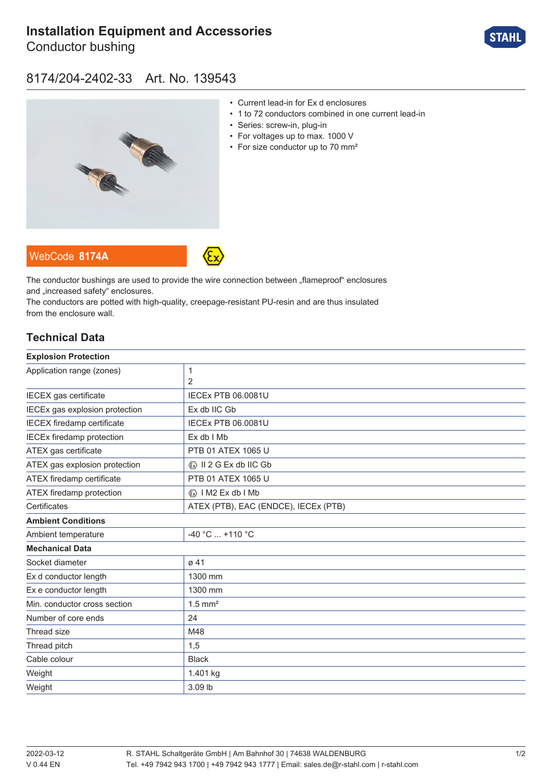# **[Installation Equipment and Accessories](https://r-stahl.com/en/global/products/materialid/139543)**

Conductor bushing



### 8174/204-2402-33 Art. No. 139543



- Current lead-in for Ex d enclosures
- 1 to 72 conductors combined in one current lead-in
- Series: screw-in, plug-in
- For voltages up to max. 1000 V
- For size conductor up to 70 mm<sup>2</sup>





The conductor bushings are used to provide the wire connection between "flameproof" enclosures and ..increased safety" enclosures.

The conductors are potted with high-quality, creepage-resistant PU-resin and are thus insulated from the enclosure wall.

#### **Technical Data**

| <b>Explosion Protection</b>             |  |
|-----------------------------------------|--|
| 1                                       |  |
| 2                                       |  |
| <b>IECEx PTB 06.0081U</b>               |  |
| Ex db IIC Gb                            |  |
| <b>IECEx PTB 06.0081U</b>               |  |
| Ex db I Mb                              |  |
| PTB 01 ATEX 1065 U                      |  |
| $\langle x \rangle$ II 2 G Ex db IIC Gb |  |
| PTB 01 ATEX 1065 U                      |  |
| <b>«</b> » I M2 Ex db I Mb              |  |
| ATEX (PTB), EAC (ENDCE), IECEx (PTB)    |  |
|                                         |  |
| $-40 °C$ +110 °C                        |  |
|                                         |  |
| ø 41                                    |  |
| 1300 mm                                 |  |
| 1300 mm                                 |  |
| $1.5$ mm <sup>2</sup>                   |  |
| 24                                      |  |
| M48                                     |  |
| 1,5                                     |  |
| <b>Black</b>                            |  |
| 1.401 kg                                |  |
| 3.09 lb                                 |  |
|                                         |  |